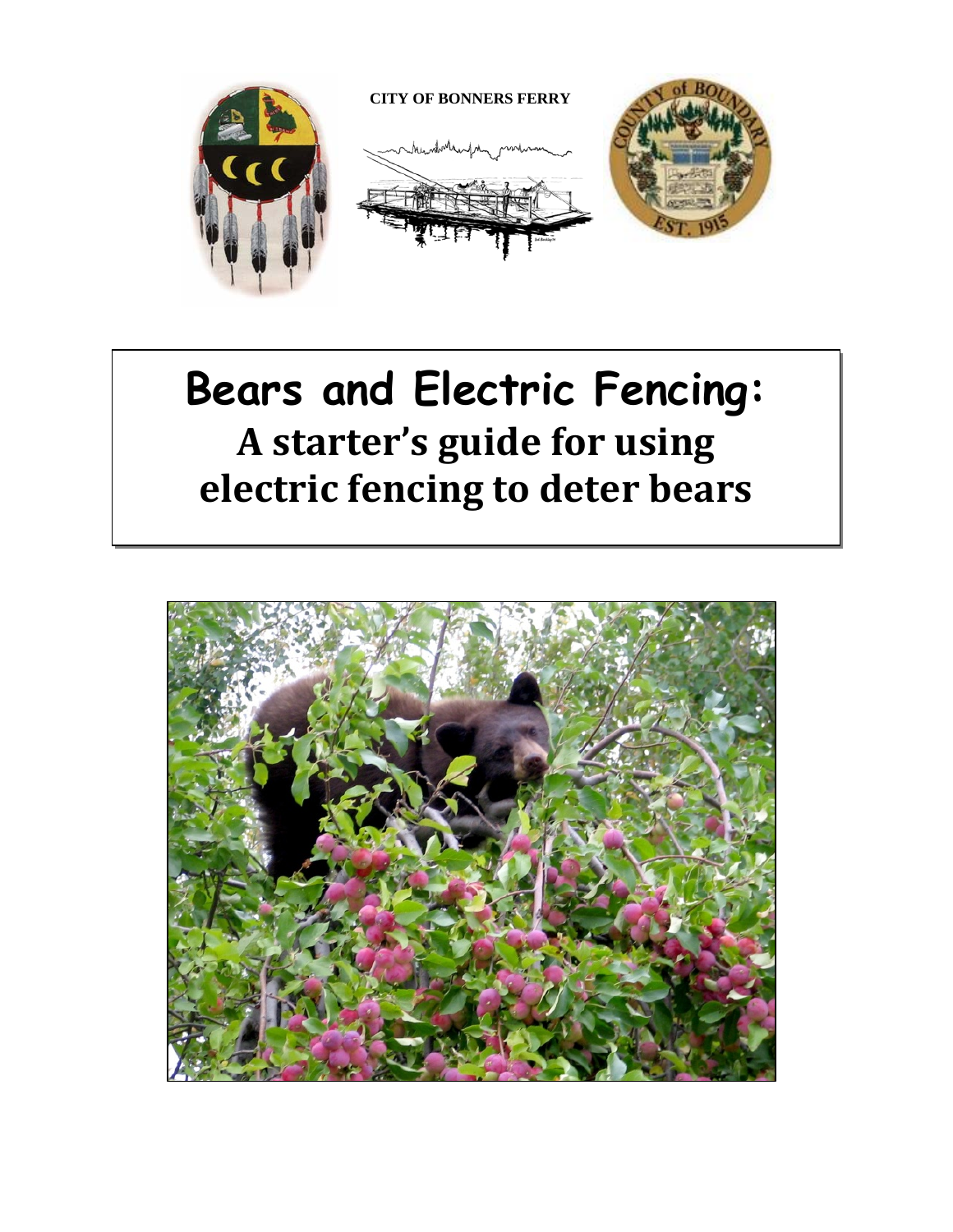

# **Bears and Electric Fencing: A starter's guide for using electric fencing to deter bears**

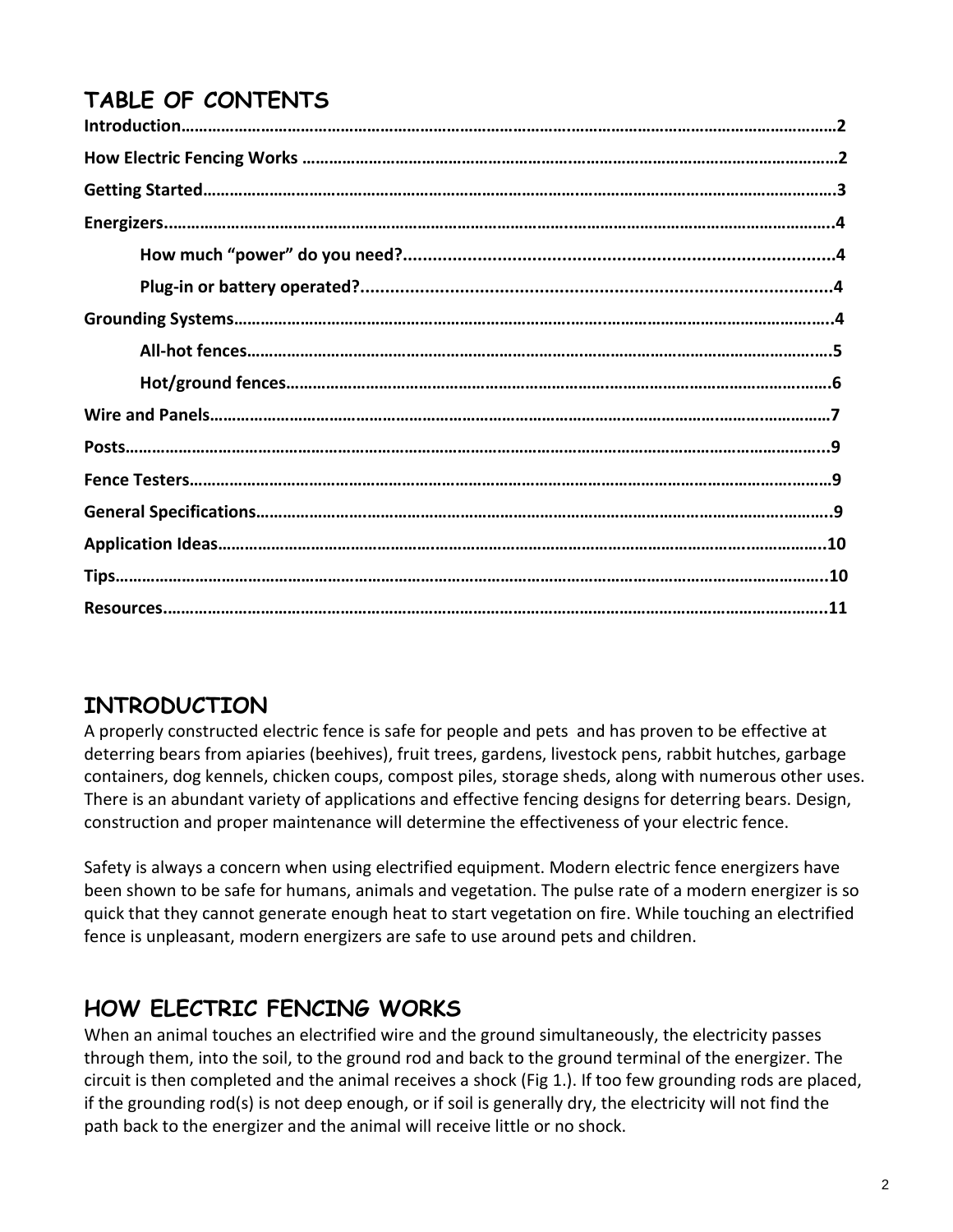# **TABLE OF CONTENTS**

# **INTRODUCTION**

A properly constructed electric fence is safe for people and pets and has proven to be effective at deterring bears from apiaries (beehives), fruit trees, gardens, livestock pens, rabbit hutches, garbage containers, dog kennels, chicken coups, compost piles, storage sheds, along with numerous other uses. There is an abundant variety of applications and effective fencing designs for deterring bears. Design, construction and proper maintenance will determine the effectiveness of your electric fence.

Safety is always a concern when using electrified equipment. Modern electric fence energizers have been shown to be safe for humans, animals and vegetation. The pulse rate of a modern energizer is so quick that they cannot generate enough heat to start vegetation on fire. While touching an electrified fence is unpleasant, modern energizers are safe to use around pets and children.

# **HOW ELECTRIC FENCING WORKS**

When an animal touches an electrified wire and the ground simultaneously, the electricity passes through them, into the soil, to the ground rod and back to the ground terminal of the energizer. The circuit is then completed and the animal receives a shock (Fig 1.). If too few grounding rods are placed, if the grounding rod(s) is not deep enough, or if soil is generally dry, the electricity will not find the path back to the energizer and the animal will receive little or no shock.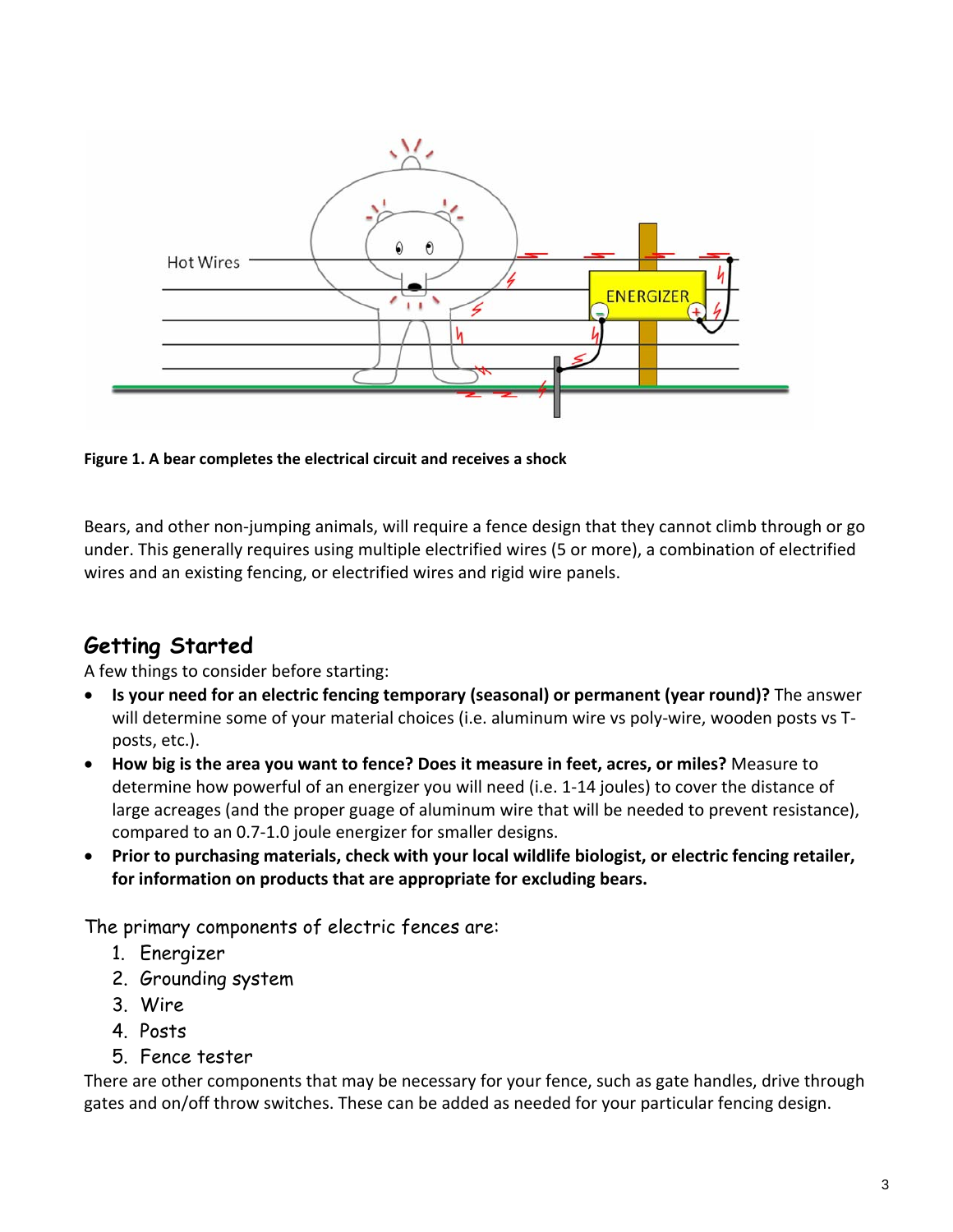

**Figure 1. A bear completes the electrical circuit and receives a shock**

Bears, and other non‐jumping animals, will require a fence design that they cannot climb through or go under. This generally requires using multiple electrified wires (5 or more), a combination of electrified wires and an existing fencing, or electrified wires and rigid wire panels.

# **Getting Started**

A few things to consider before starting:

- **Is your need for an electric fencing temporary (seasonal) or permanent (year round)?** The answer will determine some of your material choices (i.e. aluminum wire vs poly-wire, wooden posts vs Tposts, etc.).
- **How big is the area you want to fence? Does it measure in feet, acres, or miles?** Measure to determine how powerful of an energizer you will need (i.e. 1‐14 joules) to cover the distance of large acreages (and the proper guage of aluminum wire that will be needed to prevent resistance), compared to an 0.7‐1.0 joule energizer for smaller designs.
- **Prior to purchasing materials, check with your local wildlife biologist, or electric fencing retailer, for information on products that are appropriate for excluding bears.**

The primary components of electric fences are:

- 1. Energizer
- 2. Grounding system
- 3. Wire
- 4. Posts
- 5. Fence tester

There are other components that may be necessary for your fence, such as gate handles, drive through gates and on/off throw switches. These can be added as needed for your particular fencing design.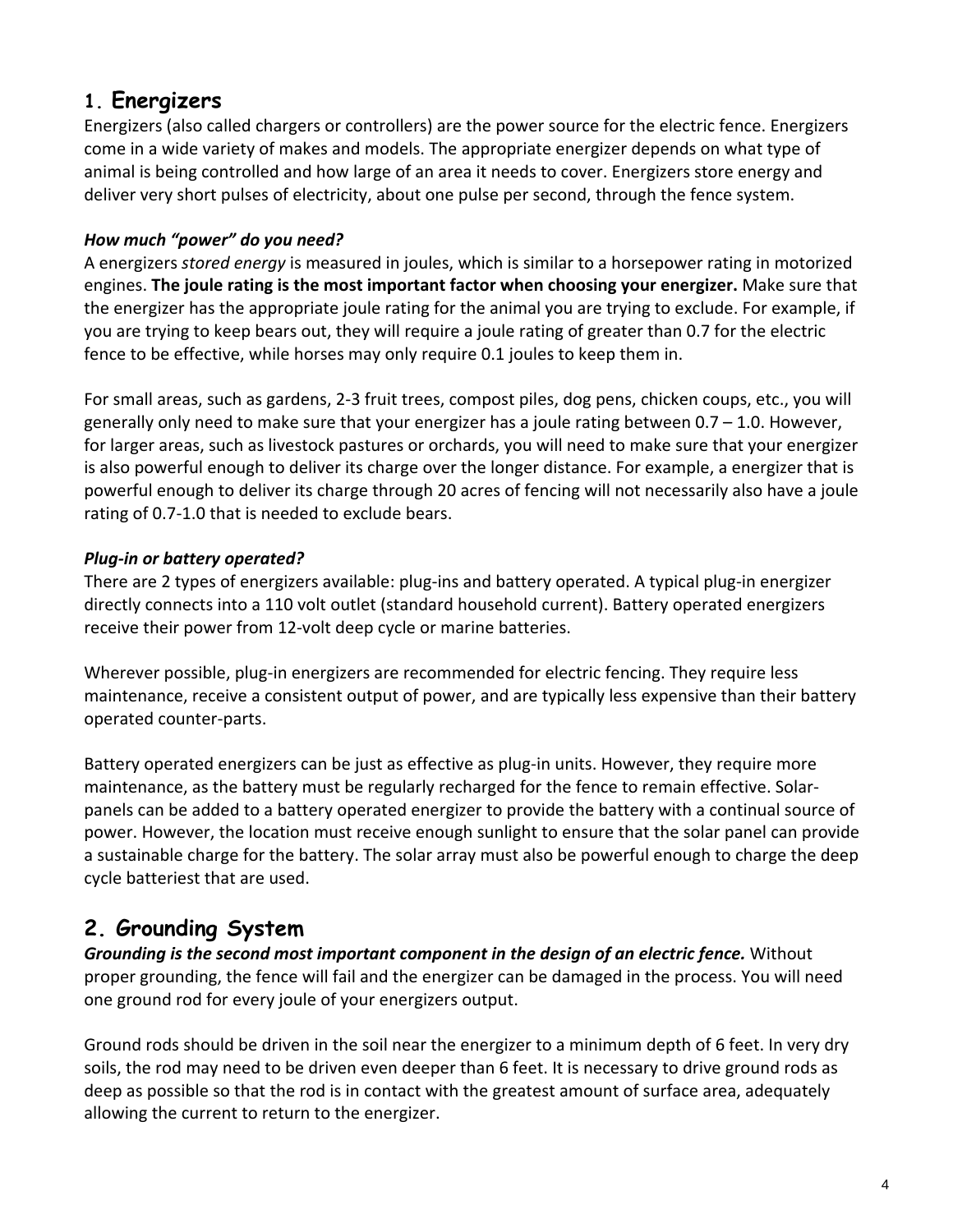# **1. Energizers**

Energizers (also called chargers or controllers) are the power source for the electric fence. Energizers come in a wide variety of makes and models. The appropriate energizer depends on what type of animal is being controlled and how large of an area it needs to cover. Energizers store energy and deliver very short pulses of electricity, about one pulse per second, through the fence system.

#### *How much "power" do you need?*

A energizers *stored energy* is measured in joules, which is similar to a horsepower rating in motorized engines. **The joule rating is the most important factor when choosing your energizer.** Make sure that the energizer has the appropriate joule rating for the animal you are trying to exclude. For example, if you are trying to keep bears out, they will require a joule rating of greater than 0.7 for the electric fence to be effective, while horses may only require 0.1 joules to keep them in.

For small areas, such as gardens, 2‐3 fruit trees, compost piles, dog pens, chicken coups, etc., you will generally only need to make sure that your energizer has a joule rating between  $0.7 - 1.0$ . However, for larger areas, such as livestock pastures or orchards, you will need to make sure that your energizer is also powerful enough to deliver its charge over the longer distance. For example, a energizer that is powerful enough to deliver its charge through 20 acres of fencing will not necessarily also have a joule rating of 0.7‐1.0 that is needed to exclude bears.

#### *Plug‐in or battery operated?*

There are 2 types of energizers available: plug‐ins and battery operated. A typical plug‐in energizer directly connects into a 110 volt outlet (standard household current). Battery operated energizers receive their power from 12‐volt deep cycle or marine batteries.

Wherever possible, plug-in energizers are recommended for electric fencing. They require less maintenance, receive a consistent output of power, and are typically less expensive than their battery operated counter‐parts.

Battery operated energizers can be just as effective as plug-in units. However, they require more maintenance, as the battery must be regularly recharged for the fence to remain effective. Solar‐ panels can be added to a battery operated energizer to provide the battery with a continual source of power. However, the location must receive enough sunlight to ensure that the solar panel can provide a sustainable charge for the battery. The solar array must also be powerful enough to charge the deep cycle batteriest that are used.

# **2. Grounding System**

*Grounding is the second most important component in the design of an electric fence.* Without proper grounding, the fence will fail and the energizer can be damaged in the process. You will need one ground rod for every joule of your energizers output.

Ground rods should be driven in the soil near the energizer to a minimum depth of 6 feet. In very dry soils, the rod may need to be driven even deeper than 6 feet. It is necessary to drive ground rods as deep as possible so that the rod is in contact with the greatest amount of surface area, adequately allowing the current to return to the energizer.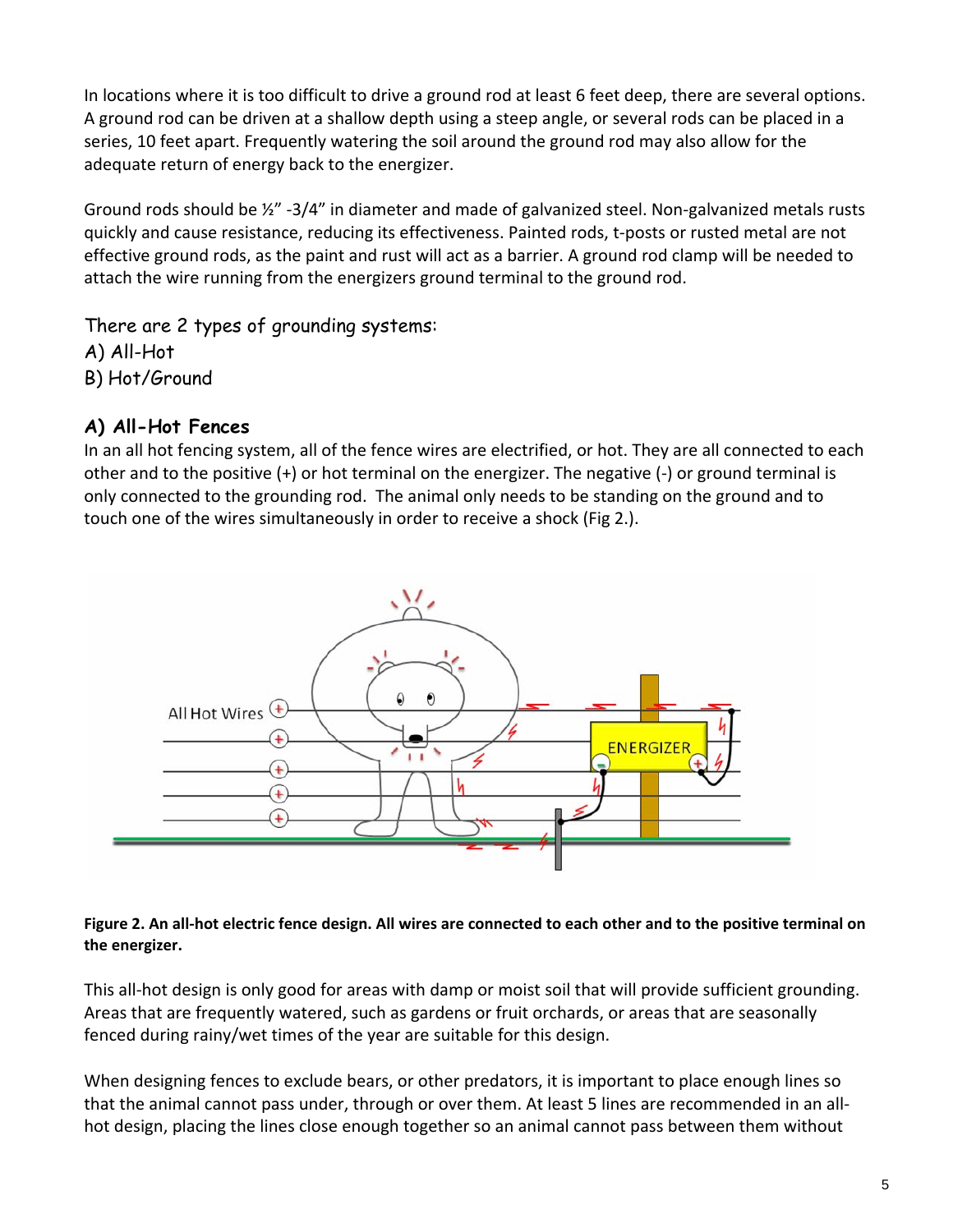In locations where it is too difficult to drive a ground rod at least 6 feet deep, there are several options. A ground rod can be driven at a shallow depth using a steep angle, or several rods can be placed in a series, 10 feet apart. Frequently watering the soil around the ground rod may also allow for the adequate return of energy back to the energizer.

Ground rods should be ½" ‐3/4" in diameter and made of galvanized steel. Non‐galvanized metals rusts quickly and cause resistance, reducing its effectiveness. Painted rods, t‐posts or rusted metal are not effective ground rods, as the paint and rust will act as a barrier. A ground rod clamp will be needed to attach the wire running from the energizers ground terminal to the ground rod.

There are 2 types of grounding systems: A) All-Hot B) Hot/Ground

### **A) All-Hot Fences**

In an all hot fencing system, all of the fence wires are electrified, or hot. They are all connected to each other and to the positive (+) or hot terminal on the energizer. The negative (‐) or ground terminal is only connected to the grounding rod. The animal only needs to be standing on the ground and to touch one of the wires simultaneously in order to receive a shock (Fig 2.).



#### Figure 2. An all-hot electric fence design. All wires are connected to each other and to the positive terminal on **the energizer.**

This all‐hot design is only good for areas with damp or moist soil that will provide sufficient grounding. Areas that are frequently watered, such as gardens or fruit orchards, or areas that are seasonally fenced during rainy/wet times of the year are suitable for this design.

When designing fences to exclude bears, or other predators, it is important to place enough lines so that the animal cannot pass under, through or over them. At least 5 lines are recommended in an all‐ hot design, placing the lines close enough together so an animal cannot pass between them without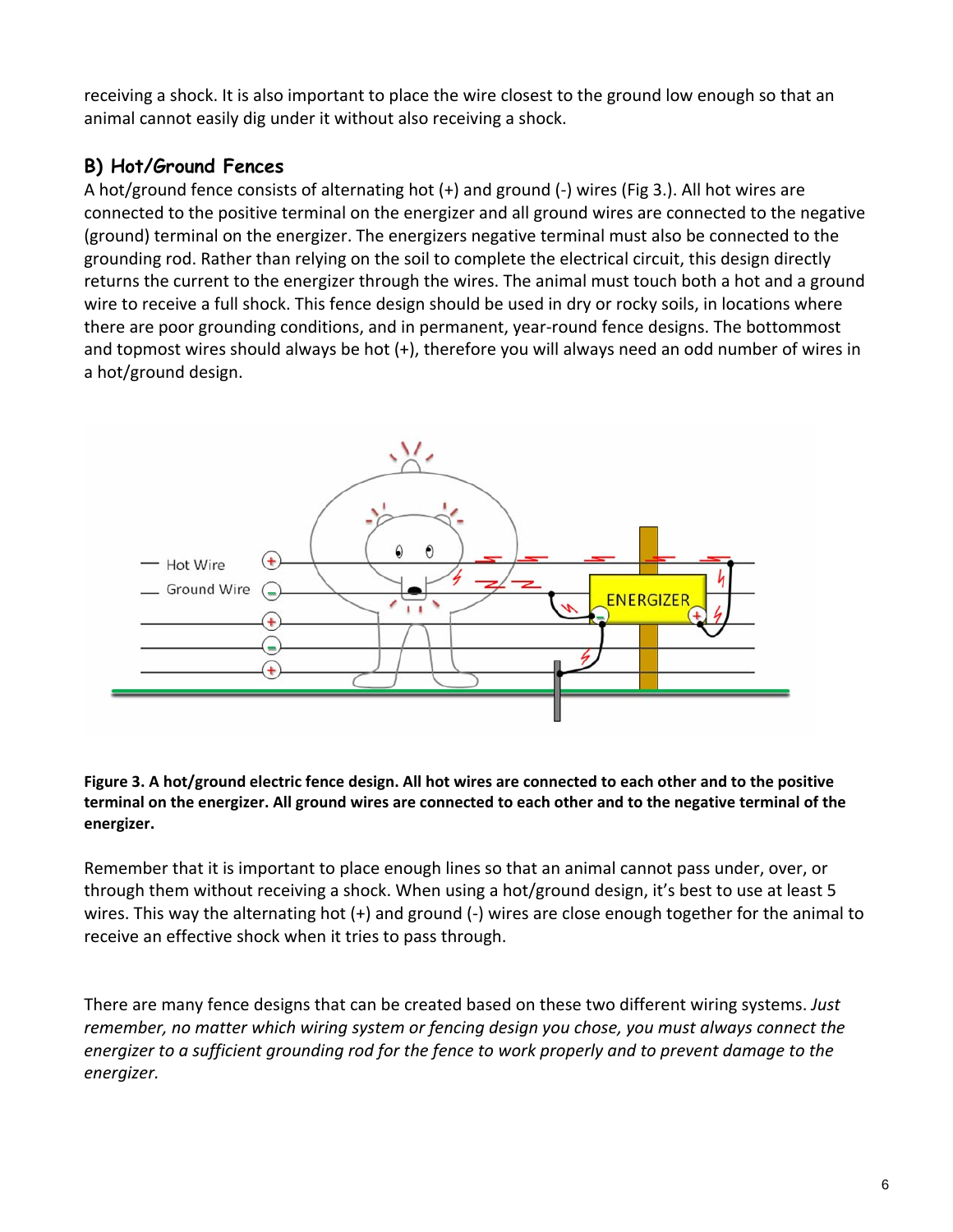receiving a shock. It is also important to place the wire closest to the ground low enough so that an animal cannot easily dig under it without also receiving a shock.

# **B) Hot/Ground Fences**

A hot/ground fence consists of alternating hot (+) and ground (‐) wires (Fig 3.). All hot wires are connected to the positive terminal on the energizer and all ground wires are connected to the negative (ground) terminal on the energizer. The energizers negative terminal must also be connected to the grounding rod. Rather than relying on the soil to complete the electrical circuit, this design directly returns the current to the energizer through the wires. The animal must touch both a hot and a ground wire to receive a full shock. This fence design should be used in dry or rocky soils, in locations where there are poor grounding conditions, and in permanent, year‐round fence designs. The bottommost and topmost wires should always be hot (+), therefore you will always need an odd number of wires in a hot/ground design.



Figure 3. A hot/ground electric fence design. All hot wires are connected to each other and to the positive terminal on the energizer. All ground wires are connected to each other and to the negative terminal of the **energizer.**

Remember that it is important to place enough lines so that an animal cannot pass under, over, or through them without receiving a shock. When using a hot/ground design, it's best to use at least 5 wires. This way the alternating hot  $(+)$  and ground  $(-)$  wires are close enough together for the animal to receive an effective shock when it tries to pass through.

There are many fence designs that can be created based on these two different wiring systems. *Just remember, no matter which wiring system or fencing design you chose, you must always connect the* energizer to a sufficient grounding rod for the fence to work properly and to prevent damage to the *energizer.*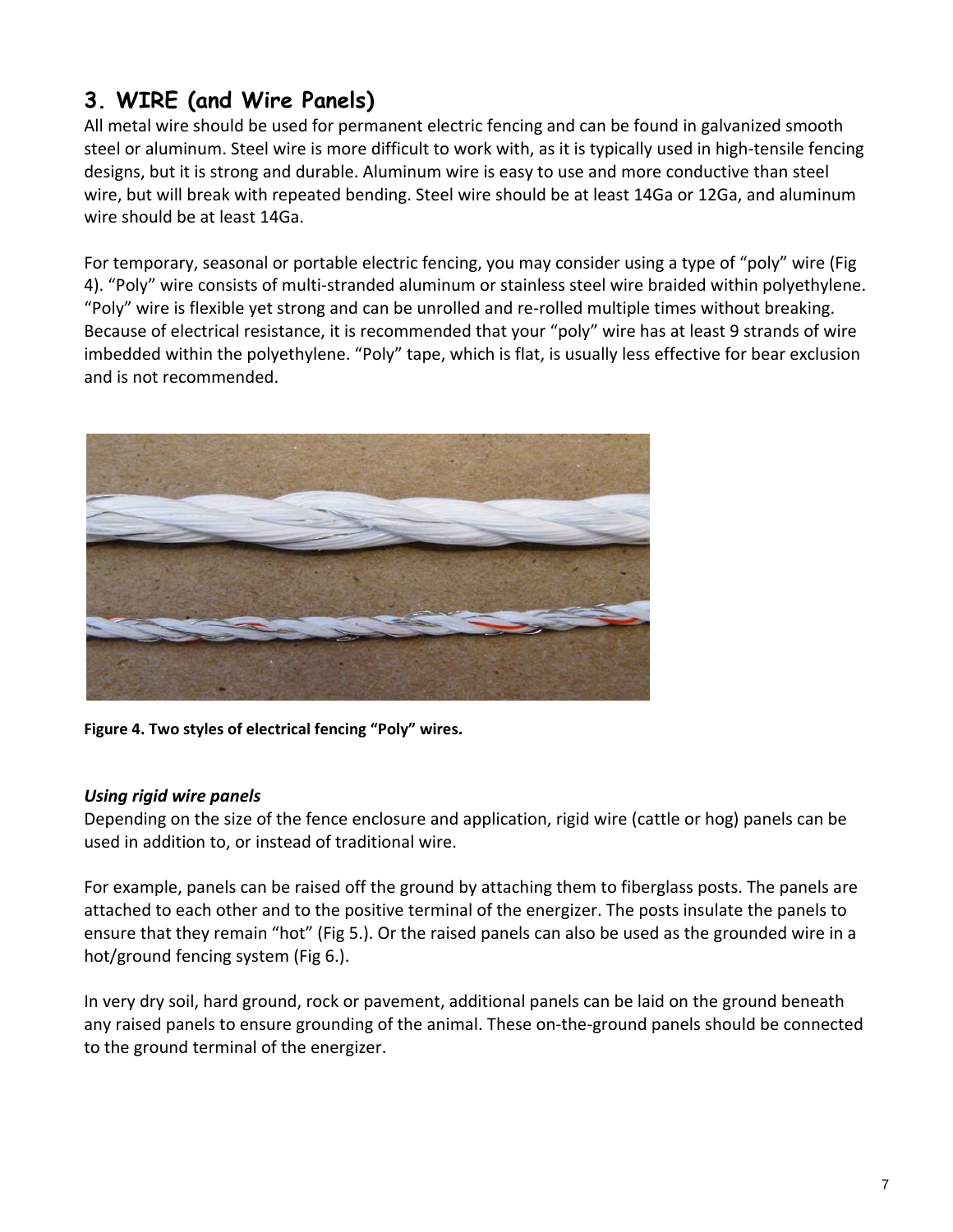# **3. WIRE (and Wire Panels)**

All metal wire should be used for permanent electric fencing and can be found in galvanized smooth steel or aluminum. Steel wire is more difficult to work with, as it is typically used in high‐tensile fencing designs, but it is strong and durable. Aluminum wire is easy to use and more conductive than steel wire, but will break with repeated bending. Steel wire should be at least 14Ga or 12Ga, and aluminum wire should be at least 14Ga.

For temporary, seasonal or portable electric fencing, you may consider using a type of "poly" wire (Fig 4). "Poly" wire consists of multi-stranded aluminum or stainless steel wire braided within polyethylene. "Poly" wire is flexible yet strong and can be unrolled and re‐rolled multiple times without breaking. Because of electrical resistance, it is recommended that your "poly" wire has at least 9 strands of wire imbedded within the polyethylene. "Poly" tape, which is flat, is usually less effective for bear exclusion and is not recommended.



**Figure 4. Two styles of electrical fencing "Poly" wires.**

#### *Using rigid wire panels*

Depending on the size of the fence enclosure and application, rigid wire (cattle or hog) panels can be used in addition to, or instead of traditional wire.

For example, panels can be raised off the ground by attaching them to fiberglass posts. The panels are attached to each other and to the positive terminal of the energizer. The posts insulate the panels to ensure that they remain "hot" (Fig 5.). Or the raised panels can also be used as the grounded wire in a hot/ground fencing system (Fig 6.).

In very dry soil, hard ground, rock or pavement, additional panels can be laid on the ground beneath any raised panels to ensure grounding of the animal. These on‐the‐ground panels should be connected to the ground terminal of the energizer.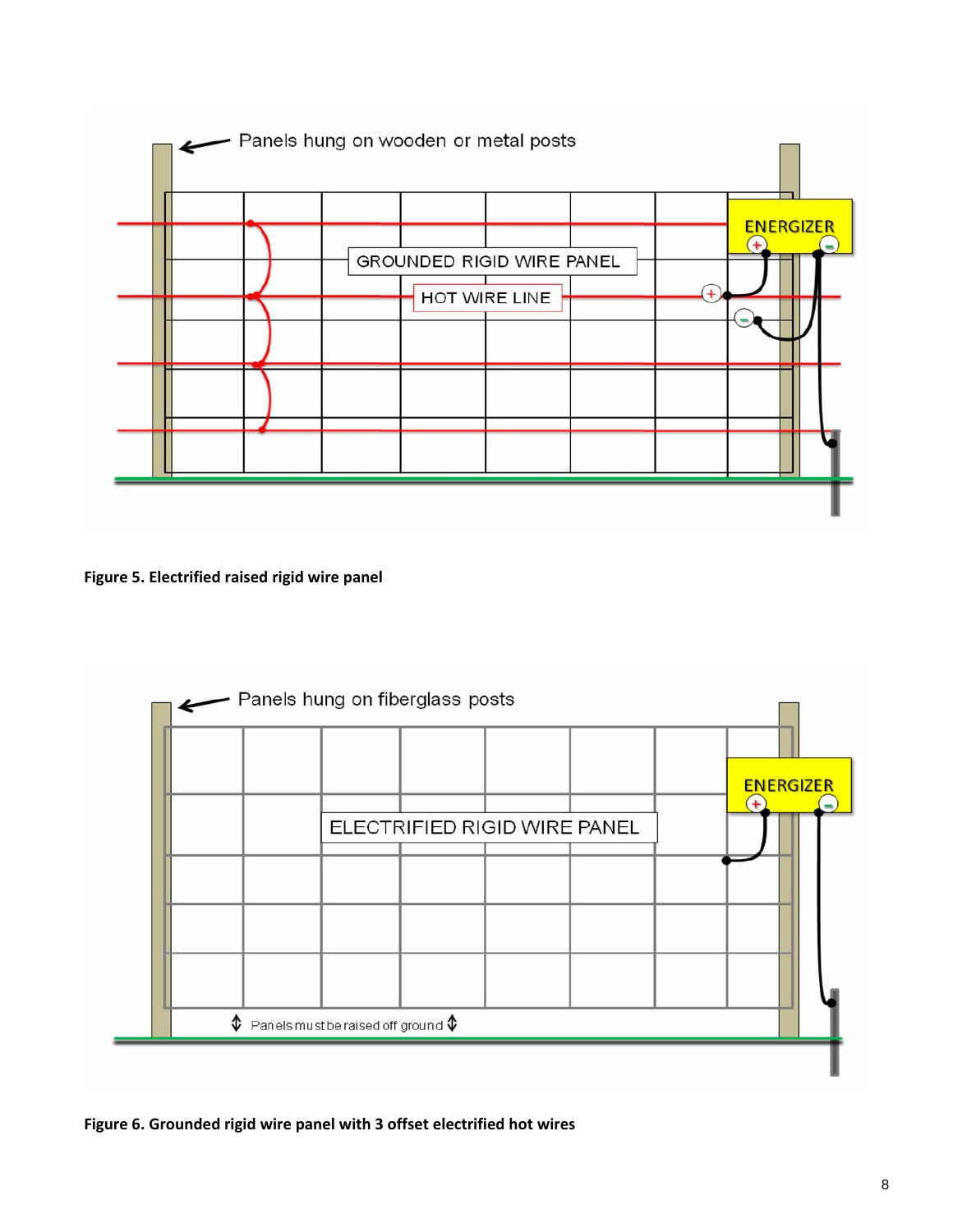

**Figure 5. Electrified raised rigid wire panel** 



**Figure 6. Grounded rigid wire panel with 3 offset electrified hot wires**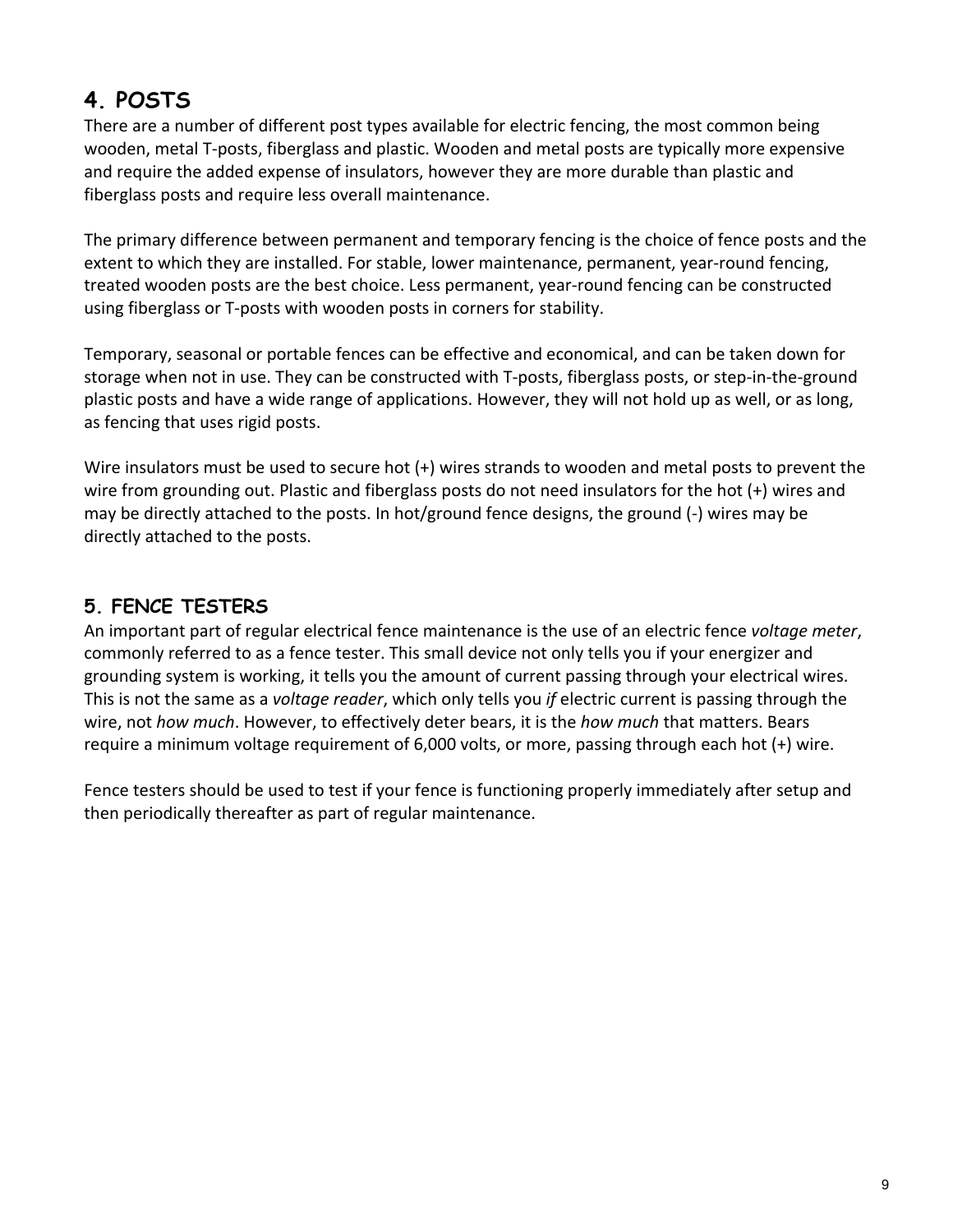# **4. POSTS**

There are a number of different post types available for electric fencing, the most common being wooden, metal T-posts, fiberglass and plastic. Wooden and metal posts are typically more expensive and require the added expense of insulators, however they are more durable than plastic and fiberglass posts and require less overall maintenance.

The primary difference between permanent and temporary fencing is the choice of fence posts and the extent to which they are installed. For stable, lower maintenance, permanent, year-round fencing, treated wooden posts are the best choice. Less permanent, year‐round fencing can be constructed using fiberglass or T‐posts with wooden posts in corners for stability.

Temporary, seasonal or portable fences can be effective and economical, and can be taken down for storage when not in use. They can be constructed with T-posts, fiberglass posts, or step-in-the-ground plastic posts and have a wide range of applications. However, they will not hold up as well, or as long, as fencing that uses rigid posts.

Wire insulators must be used to secure hot (+) wires strands to wooden and metal posts to prevent the wire from grounding out. Plastic and fiberglass posts do not need insulators for the hot (+) wires and may be directly attached to the posts. In hot/ground fence designs, the ground (‐) wires may be directly attached to the posts.

# **5. FENCE TESTERS**

An important part of regular electrical fence maintenance is the use of an electric fence *voltage meter*, commonly referred to as a fence tester. This small device not only tells you if your energizer and grounding system is working, it tells you the amount of current passing through your electrical wires. This is not the same as a *voltage reader*, which only tells you *if* electric current is passing through the wire, not *how much*. However, to effectively deter bears, it is the *how much* that matters. Bears require a minimum voltage requirement of 6,000 volts, or more, passing through each hot (+) wire.

Fence testers should be used to test if your fence is functioning properly immediately after setup and then periodically thereafter as part of regular maintenance.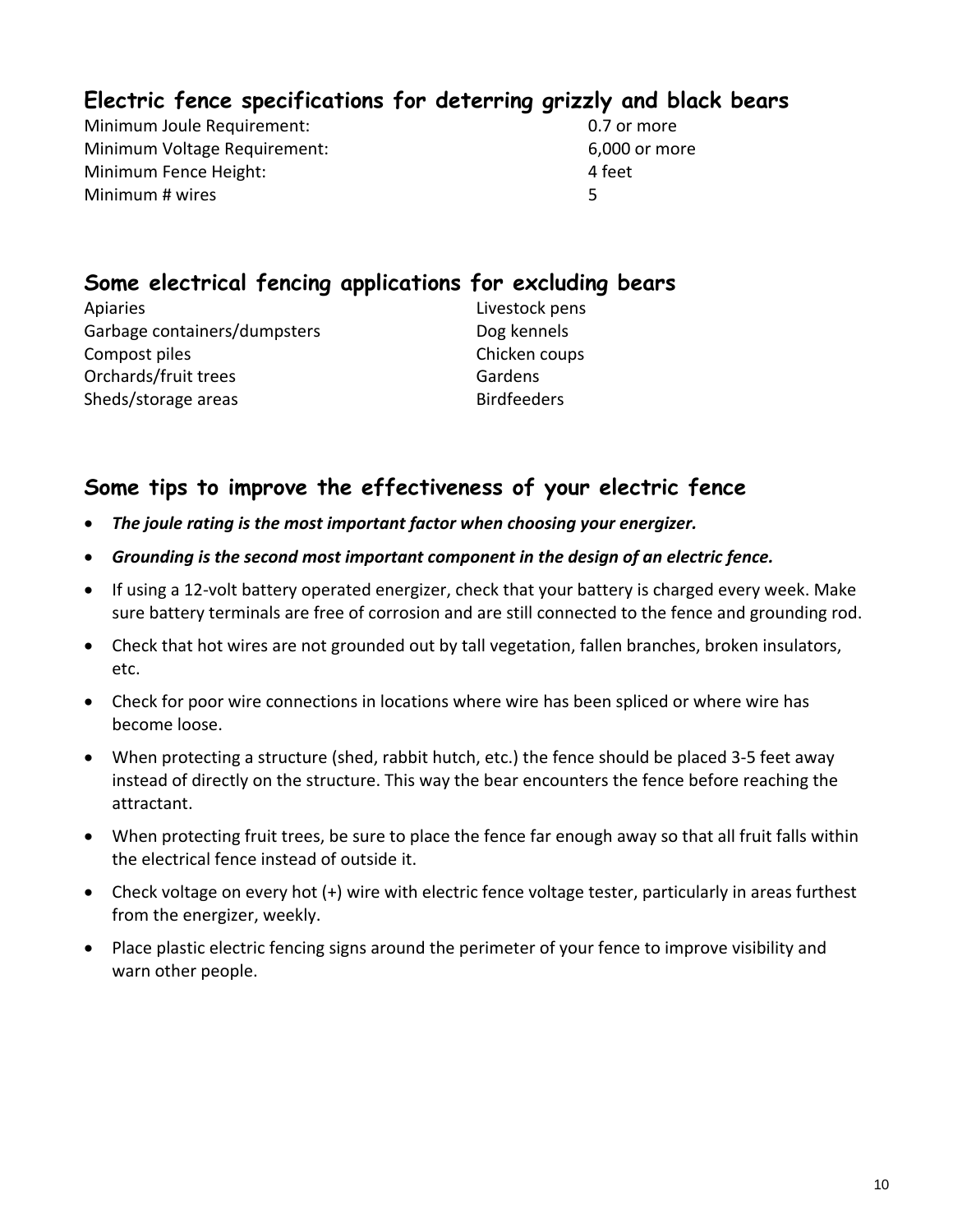# **Electric fence specifications for deterring grizzly and black bears**

Minimum Joule Requirement:  $0.7$  or more Minimum Voltage Requirement: 6,000 or more Minimum Fence Height: 4 feet Minimum # wires 5

# **Some electrical fencing applications for excluding bears**

Apiaries **Apiaries 2018** Apiaries  **2018** Apiaries **2028** Garbage containers/dumpsters Dog kennels Compost piles Chicken coups Orchards/fruit trees 
Gardens Sheds/storage areas Birdfeeders

### **Some tips to improve the effectiveness of your electric fence**

- *The joule rating is the most important factor when choosing your energizer.*
- *Grounding is the second most important component in the design of an electric fence.*
- If using a 12‐volt battery operated energizer, check that your battery is charged every week. Make sure battery terminals are free of corrosion and are still connected to the fence and grounding rod.
- Check that hot wires are not grounded out by tall vegetation, fallen branches, broken insulators, etc.
- Check for poor wire connections in locations where wire has been spliced or where wire has become loose.
- When protecting a structure (shed, rabbit hutch, etc.) the fence should be placed 3-5 feet away instead of directly on the structure. This way the bear encounters the fence before reaching the attractant.
- When protecting fruit trees, be sure to place the fence far enough away so that all fruit falls within the electrical fence instead of outside it.
- Check voltage on every hot (+) wire with electric fence voltage tester, particularly in areas furthest from the energizer, weekly.
- Place plastic electric fencing signs around the perimeter of your fence to improve visibility and warn other people.